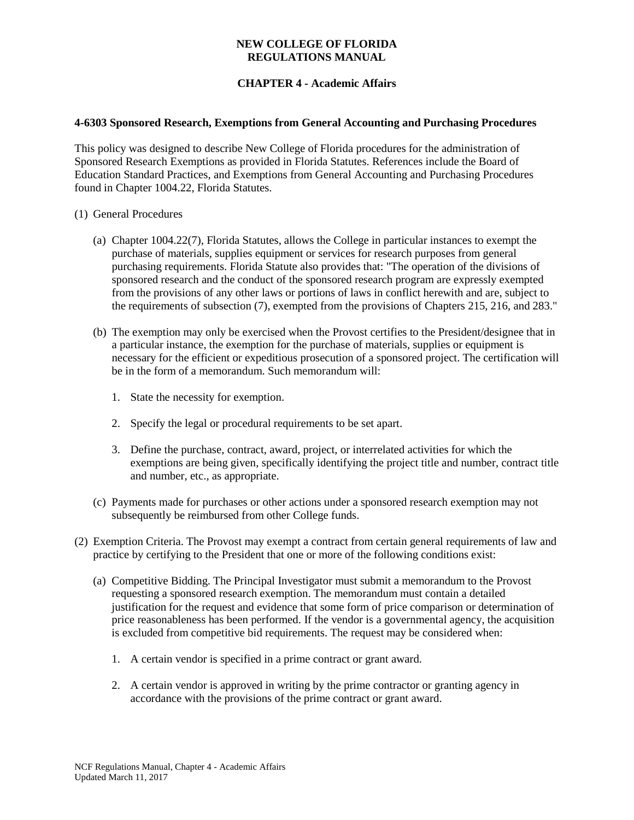# **CHAPTER 4 - Academic Affairs**

#### **4-6303 Sponsored Research, Exemptions from General Accounting and Purchasing Procedures**

This policy was designed to describe New College of Florida procedures for the administration of Sponsored Research Exemptions as provided in Florida Statutes. References include the Board of Education Standard Practices, and Exemptions from General Accounting and Purchasing Procedures found in Chapter 1004.22, Florida Statutes.

- (1) General Procedures
	- (a) Chapter 1004.22(7), Florida Statutes, allows the College in particular instances to exempt the purchase of materials, supplies equipment or services for research purposes from general purchasing requirements. Florida Statute also provides that: "The operation of the divisions of sponsored research and the conduct of the sponsored research program are expressly exempted from the provisions of any other laws or portions of laws in conflict herewith and are, subject to the requirements of subsection (7), exempted from the provisions of Chapters 215, 216, and 283."
	- (b) The exemption may only be exercised when the Provost certifies to the President/designee that in a particular instance, the exemption for the purchase of materials, supplies or equipment is necessary for the efficient or expeditious prosecution of a sponsored project. The certification will be in the form of a memorandum. Such memorandum will:
		- 1. State the necessity for exemption.
		- 2. Specify the legal or procedural requirements to be set apart.
		- 3. Define the purchase, contract, award, project, or interrelated activities for which the exemptions are being given, specifically identifying the project title and number, contract title and number, etc., as appropriate.
	- (c) Payments made for purchases or other actions under a sponsored research exemption may not subsequently be reimbursed from other College funds.
- (2) Exemption Criteria. The Provost may exempt a contract from certain general requirements of law and practice by certifying to the President that one or more of the following conditions exist:
	- (a) Competitive Bidding. The Principal Investigator must submit a memorandum to the Provost requesting a sponsored research exemption. The memorandum must contain a detailed justification for the request and evidence that some form of price comparison or determination of price reasonableness has been performed. If the vendor is a governmental agency, the acquisition is excluded from competitive bid requirements. The request may be considered when:
		- 1. A certain vendor is specified in a prime contract or grant award.
		- 2. A certain vendor is approved in writing by the prime contractor or granting agency in accordance with the provisions of the prime contract or grant award.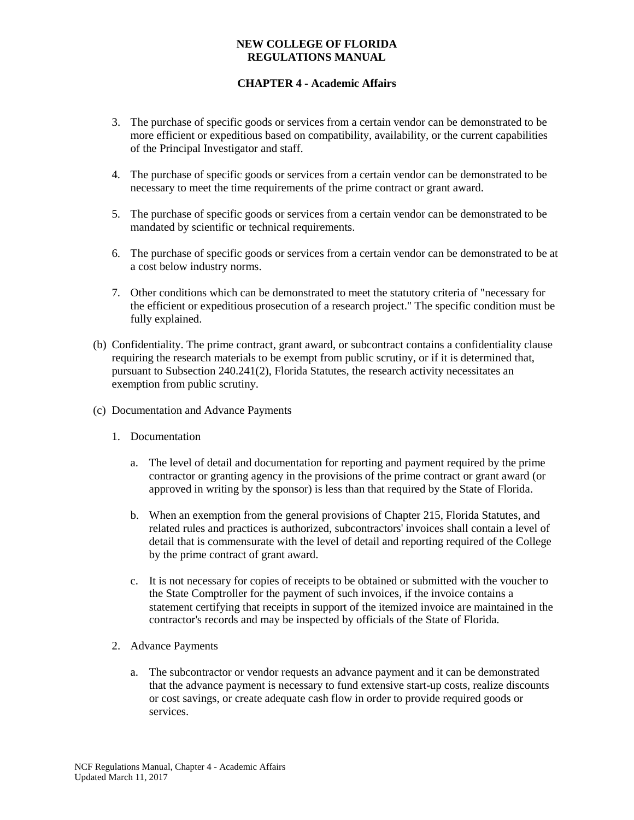## **CHAPTER 4 - Academic Affairs**

- 3. The purchase of specific goods or services from a certain vendor can be demonstrated to be more efficient or expeditious based on compatibility, availability, or the current capabilities of the Principal Investigator and staff.
- 4. The purchase of specific goods or services from a certain vendor can be demonstrated to be necessary to meet the time requirements of the prime contract or grant award.
- 5. The purchase of specific goods or services from a certain vendor can be demonstrated to be mandated by scientific or technical requirements.
- 6. The purchase of specific goods or services from a certain vendor can be demonstrated to be at a cost below industry norms.
- 7. Other conditions which can be demonstrated to meet the statutory criteria of "necessary for the efficient or expeditious prosecution of a research project." The specific condition must be fully explained.
- (b) Confidentiality. The prime contract, grant award, or subcontract contains a confidentiality clause requiring the research materials to be exempt from public scrutiny, or if it is determined that, pursuant to Subsection 240.241(2), Florida Statutes, the research activity necessitates an exemption from public scrutiny.
- (c) Documentation and Advance Payments
	- 1. Documentation
		- a. The level of detail and documentation for reporting and payment required by the prime contractor or granting agency in the provisions of the prime contract or grant award (or approved in writing by the sponsor) is less than that required by the State of Florida.
		- b. When an exemption from the general provisions of Chapter 215, Florida Statutes, and related rules and practices is authorized, subcontractors' invoices shall contain a level of detail that is commensurate with the level of detail and reporting required of the College by the prime contract of grant award.
		- c. It is not necessary for copies of receipts to be obtained or submitted with the voucher to the State Comptroller for the payment of such invoices, if the invoice contains a statement certifying that receipts in support of the itemized invoice are maintained in the contractor's records and may be inspected by officials of the State of Florida.
	- 2. Advance Payments
		- a. The subcontractor or vendor requests an advance payment and it can be demonstrated that the advance payment is necessary to fund extensive start-up costs, realize discounts or cost savings, or create adequate cash flow in order to provide required goods or services.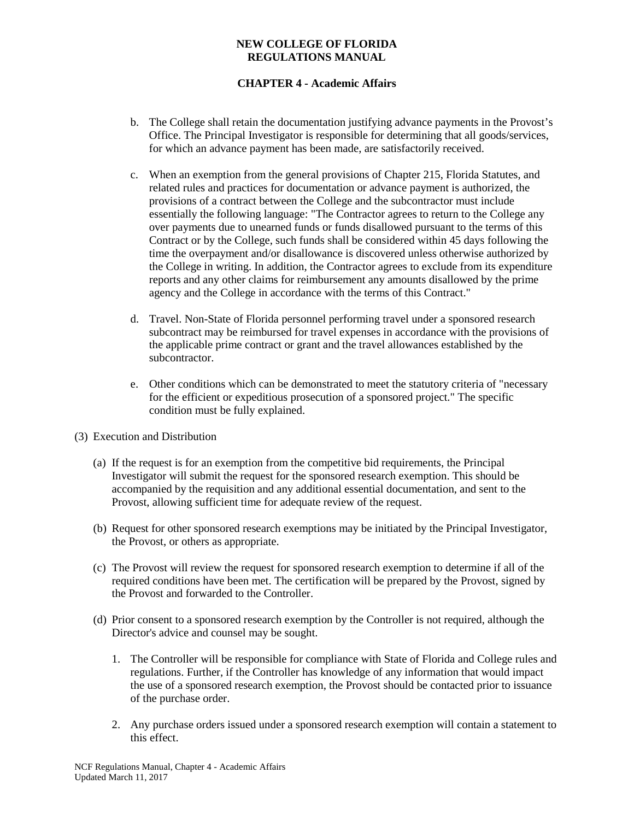# **CHAPTER 4 - Academic Affairs**

- b. The College shall retain the documentation justifying advance payments in the Provost's Office. The Principal Investigator is responsible for determining that all goods/services, for which an advance payment has been made, are satisfactorily received.
- c. When an exemption from the general provisions of Chapter 215, Florida Statutes, and related rules and practices for documentation or advance payment is authorized, the provisions of a contract between the College and the subcontractor must include essentially the following language: "The Contractor agrees to return to the College any over payments due to unearned funds or funds disallowed pursuant to the terms of this Contract or by the College, such funds shall be considered within 45 days following the time the overpayment and/or disallowance is discovered unless otherwise authorized by the College in writing. In addition, the Contractor agrees to exclude from its expenditure reports and any other claims for reimbursement any amounts disallowed by the prime agency and the College in accordance with the terms of this Contract."
- d. Travel. Non-State of Florida personnel performing travel under a sponsored research subcontract may be reimbursed for travel expenses in accordance with the provisions of the applicable prime contract or grant and the travel allowances established by the subcontractor.
- e. Other conditions which can be demonstrated to meet the statutory criteria of "necessary for the efficient or expeditious prosecution of a sponsored project." The specific condition must be fully explained.
- (3) Execution and Distribution
	- (a) If the request is for an exemption from the competitive bid requirements, the Principal Investigator will submit the request for the sponsored research exemption. This should be accompanied by the requisition and any additional essential documentation, and sent to the Provost, allowing sufficient time for adequate review of the request.
	- (b) Request for other sponsored research exemptions may be initiated by the Principal Investigator, the Provost, or others as appropriate.
	- (c) The Provost will review the request for sponsored research exemption to determine if all of the required conditions have been met. The certification will be prepared by the Provost, signed by the Provost and forwarded to the Controller.
	- (d) Prior consent to a sponsored research exemption by the Controller is not required, although the Director's advice and counsel may be sought.
		- 1. The Controller will be responsible for compliance with State of Florida and College rules and regulations. Further, if the Controller has knowledge of any information that would impact the use of a sponsored research exemption, the Provost should be contacted prior to issuance of the purchase order.
		- 2. Any purchase orders issued under a sponsored research exemption will contain a statement to this effect.